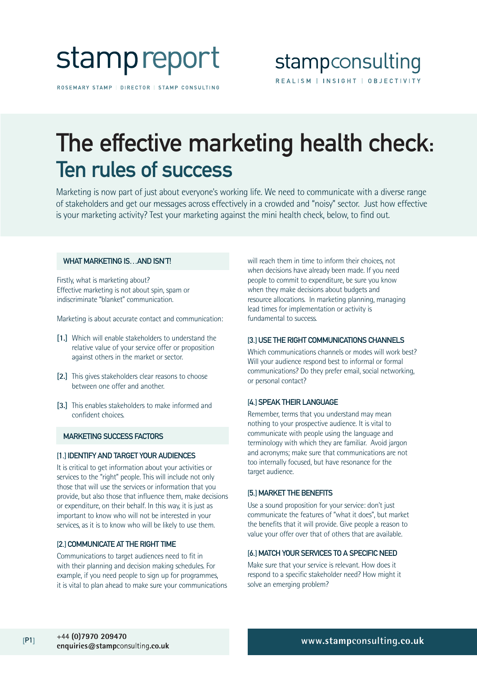

ROSEMARY STAMP | DIRECTOR | STAMP CONSULTING

## The effective marketing health check: Ten rules of success

Marketing is now part of just about everyone's working life. We need to communicate with a diverse range of stakeholders and get our messages across effectively in a crowded and "noisy" sector. Just how effective is your marketing activity? Test your marketing against the mini health check, below, to find out.

#### WHAT MARKETING IS AND ISN'T!

Firstly, what is marketing about? Effective marketing is not about spin, spam or indiscriminate "blanket" communication.

Marketing is about accurate contact and communication:

- **[1.]** Which will enable stakeholders to understand the relative value of your service offer or proposition against others in the market or sector.
- **[2.]** This gives stakeholders clear reasons to choose between one offer and another.
- **[3.]** This enables stakeholders to make informed and confident choices.

#### MARKETING SUCCESS FACTORS

#### [1.] IDENTIFY AND TARGET YOUR AUDIENCES

It is critical to get information about your activities or services to the "right" people. This will include not only those that will use the services or information that you provide, but also those that influence them, make decisions or expenditure, on their behalf. In this way, it is just as important to know who will not be interested in your services, as it is to know who will be likely to use them.

#### [2.] COMMUNICATE AT THE RIGHT TIME

Communications to target audiences need to fit in with their planning and decision making schedules. For example, if you need people to sign up for programmes, it is vital to plan ahead to make sure your communications will reach them in time to inform their choices, not when decisions have already been made. If you need people to commit to expenditure, be sure you know when they make decisions about budgets and resource allocations. In marketing planning, managing lead times for implementation or activity is fundamental to success.

#### [3.]USE THE RIGHT COMMUNICATIONS CHANNELS

Which communications channels or modes will work best? Will your audience respond best to informal or formal communications? Do they prefer email, social networking, or personal contact?

#### [4.] SPEAK THEIR LANGUAGE

Remember, terms that you understand may mean nothing to your prospective audience. It is vital to communicate with people using the language and terminology with which they are familiar. Avoid jargon and acronyms; make sure that communications are not too internally focused, but have resonance for the target audience.

#### [5.] MARKET THE BENEFITS

Use a sound proposition for your service: don't just communicate the features of "what it does", but market the benefits that it will provide. Give people a reason to value your offer over that of others that are available.

#### [6.]MATCH YOUR SERVICES TO A SPECIFIC NEED

Make sure that your service is relevant. How does it respond to a specific stakeholder need? How might it solve an emerging problem?